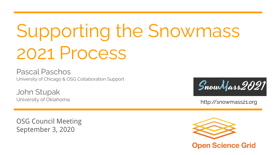# Supporting the Snowmass 2021 Process

Pascal Paschos University of Chicago & OSG Collaboration Support

John Stupak University of Oklahoma

OSG Council Meeting September 3, 2020



http://snowmass21.org

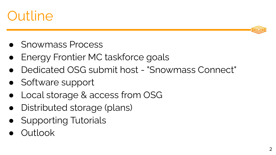



- Snowmass Process
- Energy Frontier MC taskforce goals
- Dedicated OSG submit host "Snowmass Connect"
- Software support
- Local storage & access from OSG
- Distributed storage (plans)
- Supporting Tutorials
- Outlook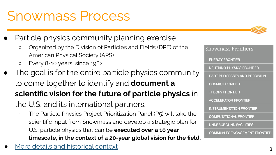### Snowmass Process

- Particle physics community planning exercise
	- Organized by the Division of Particles and Fields (DPF) of the American Physical Society (APS)
	- Every 8-10 years, since 1982
- The goal is for the entire particle physics community to come together to identify and **document a scientific vision for the future of particle physics** in the U.S. and its international partners.
	- The Particle Physics Project Prioritization Panel (P5) will take the scientific input from Snowmass and develop a strategic plan for U.S. particle physics that can be **executed over a 10 year timescale, in the context of a 20-year global vision for the field.**
- [More details and historical context](https://indico.fnal.gov/event/45207/attachments/133652/164937/How_to_Snowmass-final-links.pdf) <sup>3</sup>





**Snowmass Frontiers** 

NEUTRINO PHYSICS FRONTIER

RARE PROCESSES AND PRECISION

**ENFRGY FRONTIFR** 

**COSMIC FRONTIER** 

**THEORY FRONTIER**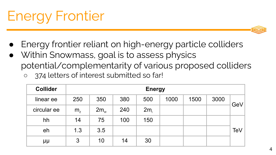## Energy Frontier

- Energy frontier reliant on high-energy particle colliders
- Within Snowmass, goal is to assess physics potential/complementarity of various proposed colliders 374 letters of interest submitted so far!

| <b>Collider</b> | <b>Energy</b>  |          |     |                 |      |      |      |     |
|-----------------|----------------|----------|-----|-----------------|------|------|------|-----|
| linear ee       | 250            | 350      | 380 | 500             | 1000 | 1500 | 3000 | GeV |
| circular ee     | m <sub>z</sub> | $2m_{w}$ | 240 | 2m <sub>r</sub> |      |      |      |     |
| hh              | 14             | 75       | 100 | 150             |      |      |      |     |
| eh              | 1.3            | 3.5      |     |                 |      |      |      | TeV |
| μμ              | 3              | 10       | 14  | 30              |      |      |      |     |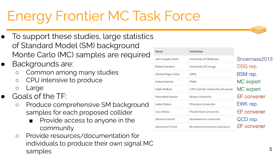### Energy Frontier MC Task Force

- To support these studies, large statistics of Standard Model (SM) background Monte Carlo (MC) samples are required
- Backgrounds are:
	- Common among many studies
	- CPU intensive to produce
	- Large
- Goals of the TF:
	- Produce comprehensive SM background samples for each proposed collider
		- Provide access to anyone in the community
	- Provide resources/documentation for individuals to produce their own signal MC samples

| <b>Name</b>          | Institution                         |                    |
|----------------------|-------------------------------------|--------------------|
| John Stupak (chair)  | University of Oklahoma              | Snowmass2013       |
| Robert Gardner       | University of Chicago               | OSG rep.           |
| Simone Pagan Griso   | LBNL                                | <b>BSM</b> rep.    |
| Stefan Hoeche        | <b>FNAL</b>                         | MC expert          |
| <b>Fabio Maltoni</b> | CP3, Catholic University of Louvain | MC expert          |
| Meenakshi Narain     | <b>Brown University</b>             | <b>EF</b> convener |
| Isabel Ojalvo        | <b>Princeton University</b>         | EWK rep.           |
| Laura Reina          | Florida State University            | <b>EF</b> convener |
| Michael Schmitt      | Northwestern University             | QCD rep.           |
| Alessandro Tricoli   | Brookhaven National Laboratory      | FF convener        |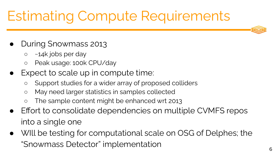### Estimating Compute Requirements

- **During Snowmass 2013** 
	- $\circ$  ~14k jobs per day
	- Peak usage: 100k CPU/day
- Expect to scale up in compute time:
	- Support studies for a wider array of proposed colliders
	- May need larger statistics in samples collected
	- The sample content might be enhanced wrt 2013
- Effort to consolidate dependencies on multiple CVMFS repos into a single one
- WIll be testing for computational scale on OSG of Delphes; the "Snowmass Detector" implementation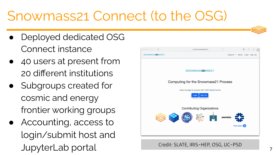### Snowmass21 Connect (to the OSG)

- Deployed dedicated OSG Connect instance
- 40 users at present from 20 different institutions
- Subgroups created for cosmic and energy frontier working groups
- Accounting, access to login/submit host and JupyterLab portal General Credit: SLATE, IRIS-HEP, OSG, UC-PSD

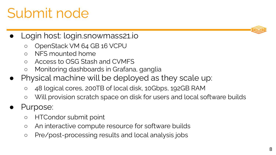### 8

### Submit node

- Login host: login.snowmass21.io
	- OpenStack VM 64 GB 16 VCPU
	- NFS mounted home
	- Access to OSG Stash and CVMFS
	- Monitoring dashboards in Grafana, ganglia
- Physical machine will be deployed as they scale up:
	- 48 logical cores, 200TB of local disk, 10Gbps, 192GB RAM
	- Will provision scratch space on disk for users and local software builds
- Purpose:
	- HTCondor submit point
	- An interactive compute resource for software builds
	- Pre/post-processing results and local analysis jobs

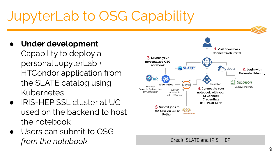### JupyterLab to OSG Capability

- **Under development**
	- Capability to deploy a personal JupyterLab + HTCondor application from the SLATE catalog using Kubernetes
- IRIS-HEP SSL cluster at UC used on the backend to host the notebook
- Users can submit to OSG *from the notebook* Credit: SLATE and IRIS-HEP

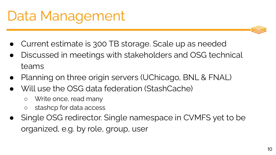### Data Management

- Current estimate is 300 TB storage. Scale up as needed
- Discussed in meetings with stakeholders and OSG technical teams
- Planning on three origin servers (UChicago, BNL & FNAL)
- Will use the OSG data federation (StashCache)
	- Write once, read many
	- stashcp for data access
- Single OSG redirector. Single namespace in CVMFS yet to be organized, e.g. by role, group, user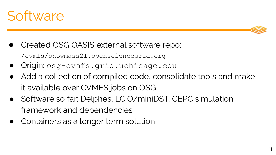



- Origin: osg-cvmfs.grid.uchicago.edu
- Add a collection of compiled code, consolidate tools and make it available over CVMFS jobs on OSG
- Software so far: Delphes, LCIO/miniDST, CEPC simulation framework and dependencies
- Containers as a longer term solution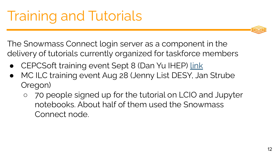The Snowmass Connect login server as a component in the delivery of tutorials currently organized for taskforce members

- CEPCSoft training event Sept 8 (Dan Yu IHEP) [link](https://indico.fnal.gov/event/45183/)
- MC ILC training event Aug 28 (Jenny List DESY, Jan Strube Oregon)
	- 70 people signed up for the tutorial on LCIO and Jupyter notebooks. About half of them used the Snowmass Connect node.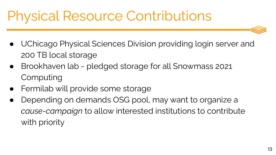### Physical Resource Contributions

- UChicago Physical Sciences Division providing login server and 200 TB local storage
- Brookhaven lab pledged storage for all Snowmass 2021 Computing
- Fermilab will provide some storage
- Depending on demands OSG pool, may want to organize a *cause-campaign* to allow interested institutions to contribute with priority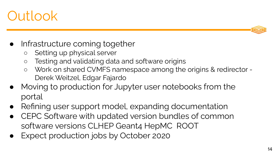### **Outlook**



- Infrastructure coming together
	- Setting up physical server
	- Testing and validating data and software origins
	- Work on shared CVMFS namespace among the origins & redirector Derek Weitzel, Edgar Fajardo
- Moving to production for Jupyter user notebooks from the portal
- Refining user support model, expanding documentation
- CEPC Software with updated version bundles of common software versions CLHEP Geant4 HepMC ROOT
- Expect production jobs by October 2020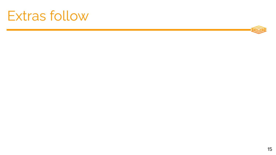### Extras follow

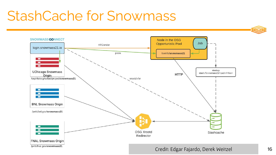### StashCache for Snowmass

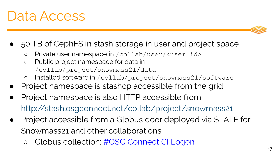### Data Access

- 50 TB of CephFS in stash storage in user and project space
	- Private user namespace in /collab/user/<user\_id>
	- Public project namespace for data in /collab/project/snowmass21/data
	- Installed software in /collab/project/snowmass21/software
- Project namespace is stashcp accessible from the grid
- Project namespace is also HTTP accessible from <http://stash.osgconnect.net/collab/project/snowmass21>
- Project accessible from a Globus door deployed via SLATE for Snowmass21 and other collaborations
	- Globus collection: #OSG Connect CI Logon